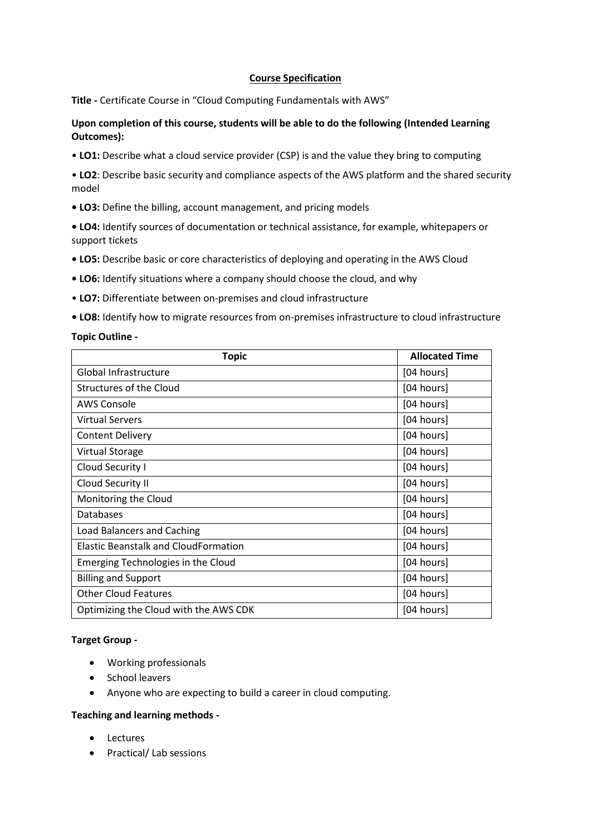## **Course Specification**

**Title -** Certificate Course in "Cloud Computing Fundamentals with AWS"

# **Upon completion of this course, students will be able to do the following (Intended Learning Outcomes):**

• **LO1:** Describe what a cloud service provider (CSP) is and the value they bring to computing

• **LO2**: Describe basic security and compliance aspects of the AWS platform and the shared security model

**• LO3:** Define the billing, account management, and pricing models

**• LO4:** Identify sources of documentation or technical assistance, for example, whitepapers or support tickets

- **LO5:** Describe basic or core characteristics of deploying and operating in the AWS Cloud
- **LO6:** Identify situations where a company should choose the cloud, and why
- **LO7:** Differentiate between on-premises and cloud infrastructure
- **LO8:** Identify how to migrate resources from on-premises infrastructure to cloud infrastructure

### **Topic Outline -**

| <b>Topic</b>                                | <b>Allocated Time</b> |
|---------------------------------------------|-----------------------|
| Global Infrastructure                       | [04 hours]            |
| Structures of the Cloud                     | [04 hours]            |
| AWS Console                                 | [04 hours]            |
| Virtual Servers                             | [04 hours]            |
| <b>Content Delivery</b>                     | [04 hours]            |
| <b>Virtual Storage</b>                      | [04 hours]            |
| Cloud Security I                            | [04 hours]            |
| Cloud Security II                           | [04 hours]            |
| Monitoring the Cloud                        | [04 hours]            |
| Databases                                   | [04 hours]            |
| <b>Load Balancers and Caching</b>           | [04 hours]            |
| <b>Elastic Beanstalk and CloudFormation</b> | [04 hours]            |
| Emerging Technologies in the Cloud          | [04 hours]            |
| <b>Billing and Support</b>                  | [04 hours]            |
| <b>Other Cloud Features</b>                 | [04 hours]            |
| Optimizing the Cloud with the AWS CDK       | [04 hours]            |

### **Target Group -**

- Working professionals
- School leavers
- Anyone who are expecting to build a career in cloud computing.

### **Teaching and learning methods -**

- Lectures
- Practical/ Lab sessions